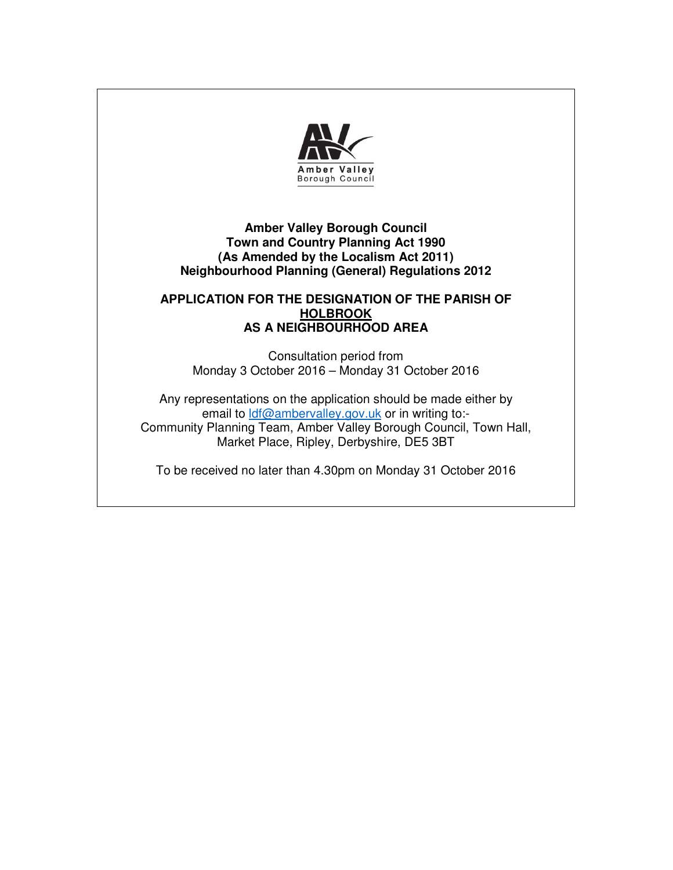

# **Amber Valley Borough Council Town and Country Planning Act 1990 (As Amended by the Localism Act 2011) Neighbourhood Planning (General) Regulations 2012**

## **APPLICATION FOR THE DESIGNATION OF THE PARISH OF HOLBROOK AS A NEIGHBOURHOOD AREA**

Consultation period from Monday 3 October 2016 – Monday 31 October 2016

Any representations on the application should be made either by email to ldf@ambervalley.gov.uk or in writing to:-Community Planning Team, Amber Valley Borough Council, Town Hall, Market Place, Ripley, Derbyshire, DE5 3BT

To be received no later than 4.30pm on Monday 31 October 2016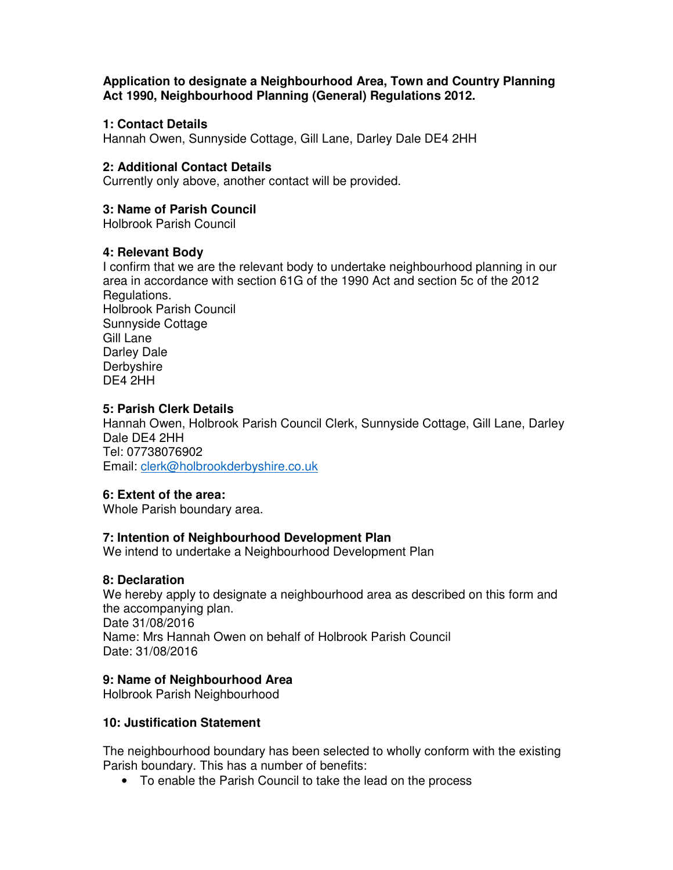**Application to designate a Neighbourhood Area, Town and Country Planning Act 1990, Neighbourhood Planning (General) Regulations 2012.** 

## **1: Contact Details**

Hannah Owen, Sunnyside Cottage, Gill Lane, Darley Dale DE4 2HH

## **2: Additional Contact Details**

Currently only above, another contact will be provided.

## **3: Name of Parish Council**

Holbrook Parish Council

#### **4: Relevant Body**

I confirm that we are the relevant body to undertake neighbourhood planning in our area in accordance with section 61G of the 1990 Act and section 5c of the 2012 Regulations. Holbrook Parish Council Sunnyside Cottage Gill Lane Darley Dale **Derbyshire** DE4 2HH

#### **5: Parish Clerk Details**

Hannah Owen, Holbrook Parish Council Clerk, Sunnyside Cottage, Gill Lane, Darley Dale DE4 2HH Tel: 07738076902 Email: clerk@holbrookderbyshire.co.uk

# **6: Extent of the area:**

Whole Parish boundary area.

# **7: Intention of Neighbourhood Development Plan**

We intend to undertake a Neighbourhood Development Plan

#### **8: Declaration**

We hereby apply to designate a neighbourhood area as described on this form and the accompanying plan. Date 31/08/2016 Name: Mrs Hannah Owen on behalf of Holbrook Parish Council Date: 31/08/2016

# **9: Name of Neighbourhood Area**

Holbrook Parish Neighbourhood

# **10: Justification Statement**

The neighbourhood boundary has been selected to wholly conform with the existing Parish boundary. This has a number of benefits:

• To enable the Parish Council to take the lead on the process